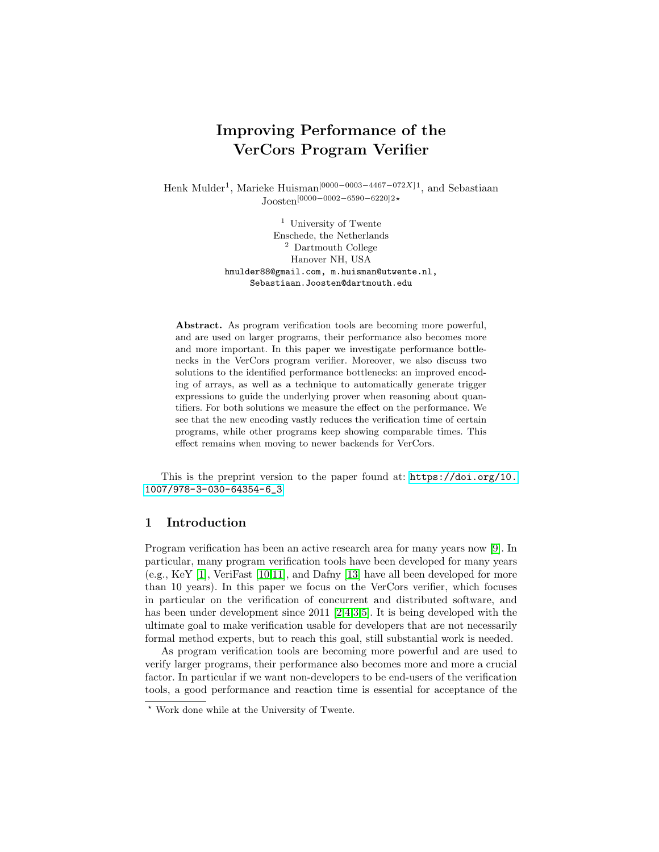# Improving Performance of the VerCors Program Verifier

Henk Mulder<sup>1</sup>, Marieke Huisman<sup>[0000–0003–4467–072X]<sup>1</sup>, and Sebastiaan</sup> Joosten[0000−0002−6590−6220]2?

> <sup>1</sup> University of Twente Enschede, the Netherlands <sup>2</sup> Dartmouth College Hanover NH, USA hmulder88@gmail.com, m.huisman@utwente.nl, Sebastiaan.Joosten@dartmouth.edu

Abstract. As program verification tools are becoming more powerful, and are used on larger programs, their performance also becomes more and more important. In this paper we investigate performance bottlenecks in the VerCors program verifier. Moreover, we also discuss two solutions to the identified performance bottlenecks: an improved encoding of arrays, as well as a technique to automatically generate trigger expressions to guide the underlying prover when reasoning about quantifiers. For both solutions we measure the effect on the performance. We see that the new encoding vastly reduces the verification time of certain programs, while other programs keep showing comparable times. This effect remains when moving to newer backends for VerCors.

This is the preprint version to the paper found at: [https://doi.org/10.](https://doi.org/10.1007/978-3-030-64354-6_3) [1007/978-3-030-64354-6\\_3](https://doi.org/10.1007/978-3-030-64354-6_3)

## 1 Introduction

Program verification has been an active research area for many years now [\[9\]](#page-16-0). In particular, many program verification tools have been developed for many years (e.g., KeY [\[1\]](#page-14-0), VeriFast [\[10](#page-16-1)[,11\]](#page-16-2), and Dafny [\[13\]](#page-16-3) have all been developed for more than 10 years). In this paper we focus on the VerCors verifier, which focuses in particular on the verification of concurrent and distributed software, and has been under development since 2011 [\[2,](#page-15-0)[4,](#page-15-1)[3](#page-15-2)[,5\]](#page-15-3). It is being developed with the ultimate goal to make verification usable for developers that are not necessarily formal method experts, but to reach this goal, still substantial work is needed.

As program verification tools are becoming more powerful and are used to verify larger programs, their performance also becomes more and more a crucial factor. In particular if we want non-developers to be end-users of the verification tools, a good performance and reaction time is essential for acceptance of the

<sup>?</sup> Work done while at the University of Twente.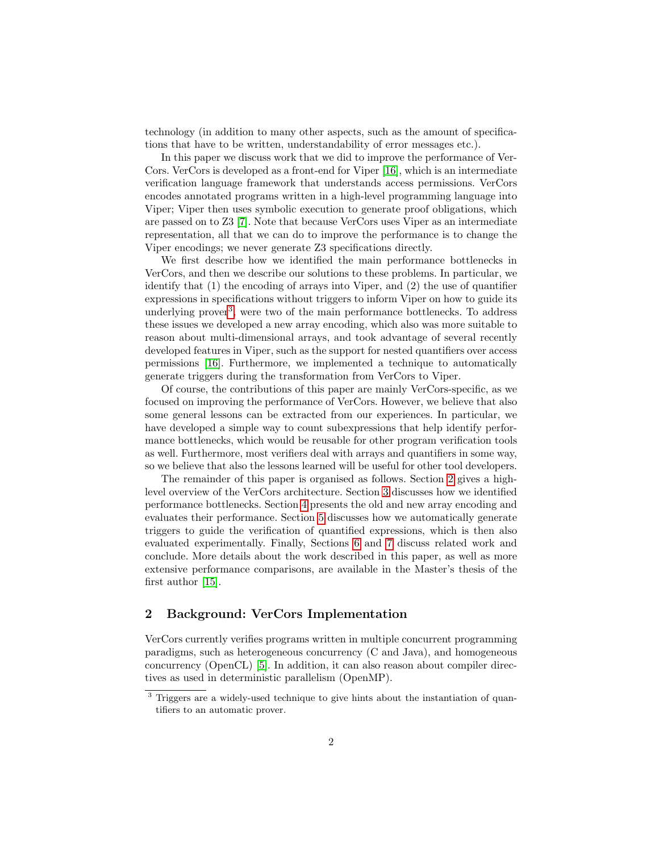technology (in addition to many other aspects, such as the amount of specifications that have to be written, understandability of error messages etc.).

In this paper we discuss work that we did to improve the performance of Ver-Cors. VerCors is developed as a front-end for Viper [\[16\]](#page-16-4), which is an intermediate verification language framework that understands access permissions. VerCors encodes annotated programs written in a high-level programming language into Viper; Viper then uses symbolic execution to generate proof obligations, which are passed on to Z3 [\[7\]](#page-15-4). Note that because VerCors uses Viper as an intermediate representation, all that we can do to improve the performance is to change the Viper encodings; we never generate Z3 specifications directly.

We first describe how we identified the main performance bottlenecks in VerCors, and then we describe our solutions to these problems. In particular, we identify that  $(1)$  the encoding of arrays into Viper, and  $(2)$  the use of quantifier expressions in specifications without triggers to inform Viper on how to guide its underlying prover<sup>[3](#page-1-0)</sup>, were two of the main performance bottlenecks. To address these issues we developed a new array encoding, which also was more suitable to reason about multi-dimensional arrays, and took advantage of several recently developed features in Viper, such as the support for nested quantifiers over access permissions [\[16\]](#page-16-4). Furthermore, we implemented a technique to automatically generate triggers during the transformation from VerCors to Viper.

Of course, the contributions of this paper are mainly VerCors-specific, as we focused on improving the performance of VerCors. However, we believe that also some general lessons can be extracted from our experiences. In particular, we have developed a simple way to count subexpressions that help identify performance bottlenecks, which would be reusable for other program verification tools as well. Furthermore, most verifiers deal with arrays and quantifiers in some way, so we believe that also the lessons learned will be useful for other tool developers.

The remainder of this paper is organised as follows. Section [2](#page-1-1) gives a highlevel overview of the VerCors architecture. Section [3](#page-3-0) discusses how we identified performance bottlenecks. Section [4](#page-4-0) presents the old and new array encoding and evaluates their performance. Section [5](#page-10-0) discusses how we automatically generate triggers to guide the verification of quantified expressions, which is then also evaluated experimentally. Finally, Sections [6](#page-13-0) and [7](#page-14-1) discuss related work and conclude. More details about the work described in this paper, as well as more extensive performance comparisons, are available in the Master's thesis of the first author [\[15\]](#page-16-5).

## <span id="page-1-1"></span>2 Background: VerCors Implementation

VerCors currently verifies programs written in multiple concurrent programming paradigms, such as heterogeneous concurrency (C and Java), and homogeneous concurrency (OpenCL) [\[5\]](#page-15-3). In addition, it can also reason about compiler directives as used in deterministic parallelism (OpenMP).

<span id="page-1-0"></span><sup>&</sup>lt;sup>3</sup> Triggers are a widely-used technique to give hints about the instantiation of quantifiers to an automatic prover.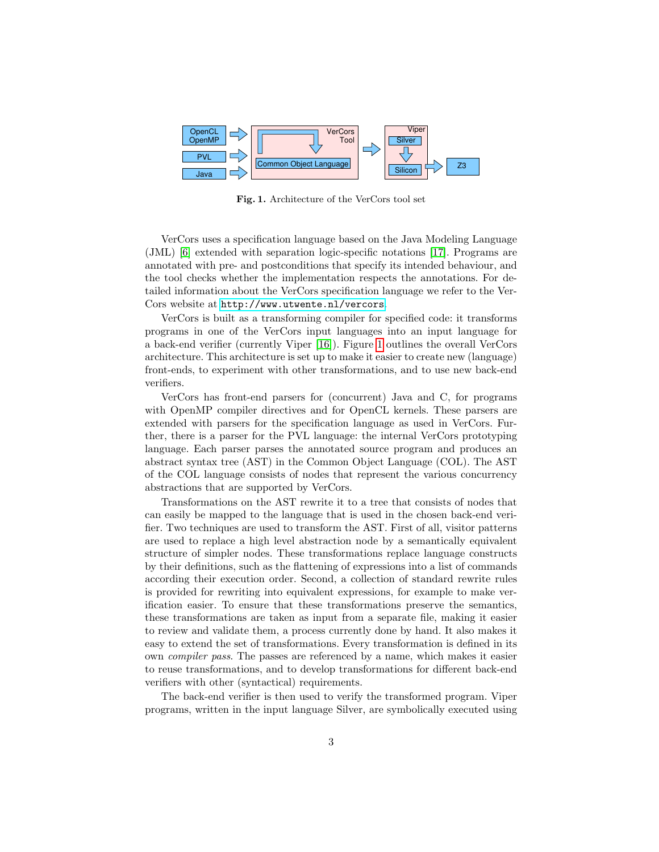

<span id="page-2-0"></span>Fig. 1. Architecture of the VerCors tool set

VerCors uses a specification language based on the Java Modeling Language (JML) [\[6\]](#page-15-5) extended with separation logic-specific notations [\[17\]](#page-16-6). Programs are annotated with pre- and postconditions that specify its intended behaviour, and the tool checks whether the implementation respects the annotations. For detailed information about the VerCors specification language we refer to the Ver-Cors website at <http://www.utwente.nl/vercors>.

VerCors is built as a transforming compiler for specified code: it transforms programs in one of the VerCors input languages into an input language for a back-end verifier (currently Viper [\[16\]](#page-16-4)). Figure [1](#page-2-0) outlines the overall VerCors architecture. This architecture is set up to make it easier to create new (language) front-ends, to experiment with other transformations, and to use new back-end verifiers.

VerCors has front-end parsers for (concurrent) Java and C, for programs with OpenMP compiler directives and for OpenCL kernels. These parsers are extended with parsers for the specification language as used in VerCors. Further, there is a parser for the PVL language: the internal VerCors prototyping language. Each parser parses the annotated source program and produces an abstract syntax tree (AST) in the Common Object Language (COL). The AST of the COL language consists of nodes that represent the various concurrency abstractions that are supported by VerCors.

Transformations on the AST rewrite it to a tree that consists of nodes that can easily be mapped to the language that is used in the chosen back-end verifier. Two techniques are used to transform the AST. First of all, visitor patterns are used to replace a high level abstraction node by a semantically equivalent structure of simpler nodes. These transformations replace language constructs by their definitions, such as the flattening of expressions into a list of commands according their execution order. Second, a collection of standard rewrite rules is provided for rewriting into equivalent expressions, for example to make verification easier. To ensure that these transformations preserve the semantics, these transformations are taken as input from a separate file, making it easier to review and validate them, a process currently done by hand. It also makes it easy to extend the set of transformations. Every transformation is defined in its own compiler pass. The passes are referenced by a name, which makes it easier to reuse transformations, and to develop transformations for different back-end verifiers with other (syntactical) requirements.

The back-end verifier is then used to verify the transformed program. Viper programs, written in the input language Silver, are symbolically executed using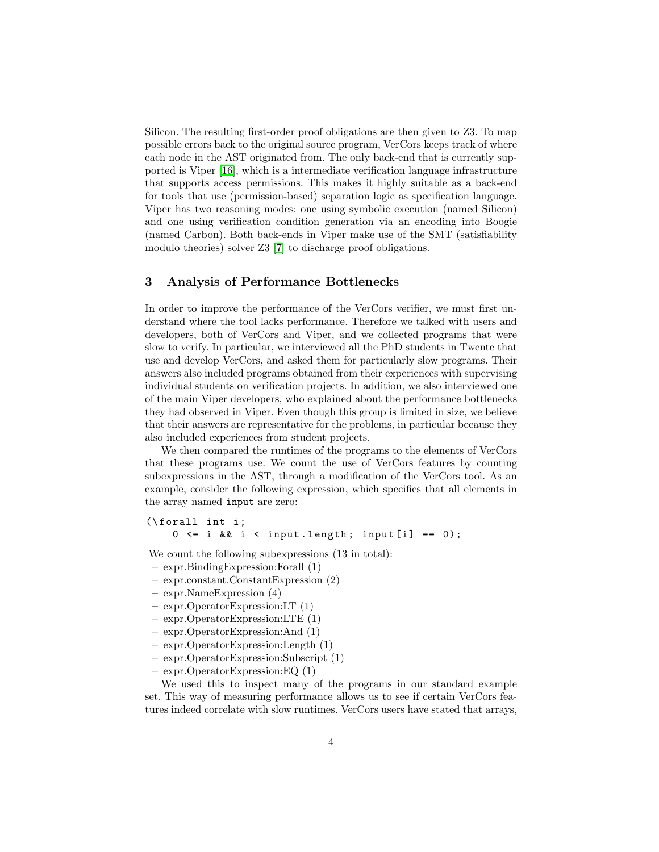Silicon. The resulting first-order proof obligations are then given to Z3. To map possible errors back to the original source program, VerCors keeps track of where each node in the AST originated from. The only back-end that is currently supported is Viper [\[16\]](#page-16-4), which is a intermediate verification language infrastructure that supports access permissions. This makes it highly suitable as a back-end for tools that use (permission-based) separation logic as specification language. Viper has two reasoning modes: one using symbolic execution (named Silicon) and one using verification condition generation via an encoding into Boogie (named Carbon). Both back-ends in Viper make use of the SMT (satisfiability modulo theories) solver Z3 [\[7\]](#page-15-4) to discharge proof obligations.

## <span id="page-3-0"></span>3 Analysis of Performance Bottlenecks

In order to improve the performance of the VerCors verifier, we must first understand where the tool lacks performance. Therefore we talked with users and developers, both of VerCors and Viper, and we collected programs that were slow to verify. In particular, we interviewed all the PhD students in Twente that use and develop VerCors, and asked them for particularly slow programs. Their answers also included programs obtained from their experiences with supervising individual students on verification projects. In addition, we also interviewed one of the main Viper developers, who explained about the performance bottlenecks they had observed in Viper. Even though this group is limited in size, we believe that their answers are representative for the problems, in particular because they also included experiences from student projects.

We then compared the runtimes of the programs to the elements of VerCors that these programs use. We count the use of VerCors features by counting subexpressions in the AST, through a modification of the VerCors tool. As an example, consider the following expression, which specifies that all elements in the array named input are zero:

 $(\text{for all int } i;$  $0 \leq i \& x \neq i$  < input . length; input [i] == 0);

We count the following subexpressions (13 in total):

- expr.BindingExpression:Forall (1)
- expr.constant.ConstantExpression (2)
- expr.NameExpression (4)
- expr.OperatorExpression:LT (1)
- expr.OperatorExpression:LTE (1)
- expr.OperatorExpression:And (1)
- expr.OperatorExpression:Length (1)
- expr.OperatorExpression:Subscript (1)
- expr.OperatorExpression:EQ (1)

We used this to inspect many of the programs in our standard example set. This way of measuring performance allows us to see if certain VerCors features indeed correlate with slow runtimes. VerCors users have stated that arrays,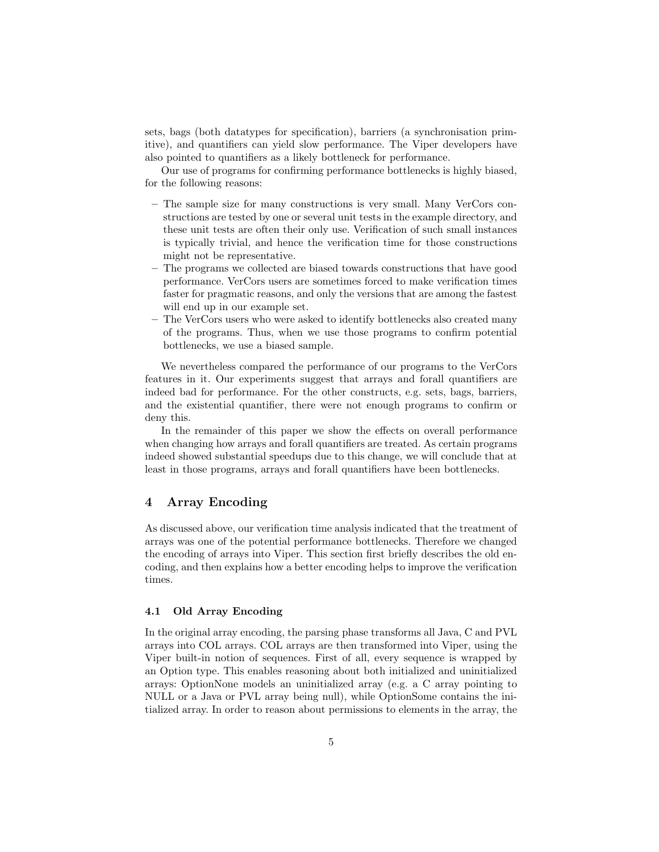sets, bags (both datatypes for specification), barriers (a synchronisation primitive), and quantifiers can yield slow performance. The Viper developers have also pointed to quantifiers as a likely bottleneck for performance.

Our use of programs for confirming performance bottlenecks is highly biased, for the following reasons:

- The sample size for many constructions is very small. Many VerCors constructions are tested by one or several unit tests in the example directory, and these unit tests are often their only use. Verification of such small instances is typically trivial, and hence the verification time for those constructions might not be representative.
- The programs we collected are biased towards constructions that have good performance. VerCors users are sometimes forced to make verification times faster for pragmatic reasons, and only the versions that are among the fastest will end up in our example set.
- The VerCors users who were asked to identify bottlenecks also created many of the programs. Thus, when we use those programs to confirm potential bottlenecks, we use a biased sample.

We nevertheless compared the performance of our programs to the VerCors features in it. Our experiments suggest that arrays and forall quantifiers are indeed bad for performance. For the other constructs, e.g. sets, bags, barriers, and the existential quantifier, there were not enough programs to confirm or deny this.

In the remainder of this paper we show the effects on overall performance when changing how arrays and forall quantifiers are treated. As certain programs indeed showed substantial speedups due to this change, we will conclude that at least in those programs, arrays and forall quantifiers have been bottlenecks.

## <span id="page-4-0"></span>4 Array Encoding

As discussed above, our verification time analysis indicated that the treatment of arrays was one of the potential performance bottlenecks. Therefore we changed the encoding of arrays into Viper. This section first briefly describes the old encoding, and then explains how a better encoding helps to improve the verification times.

#### 4.1 Old Array Encoding

In the original array encoding, the parsing phase transforms all Java, C and PVL arrays into COL arrays. COL arrays are then transformed into Viper, using the Viper built-in notion of sequences. First of all, every sequence is wrapped by an Option type. This enables reasoning about both initialized and uninitialized arrays: OptionNone models an uninitialized array (e.g. a C array pointing to NULL or a Java or PVL array being null), while OptionSome contains the initialized array. In order to reason about permissions to elements in the array, the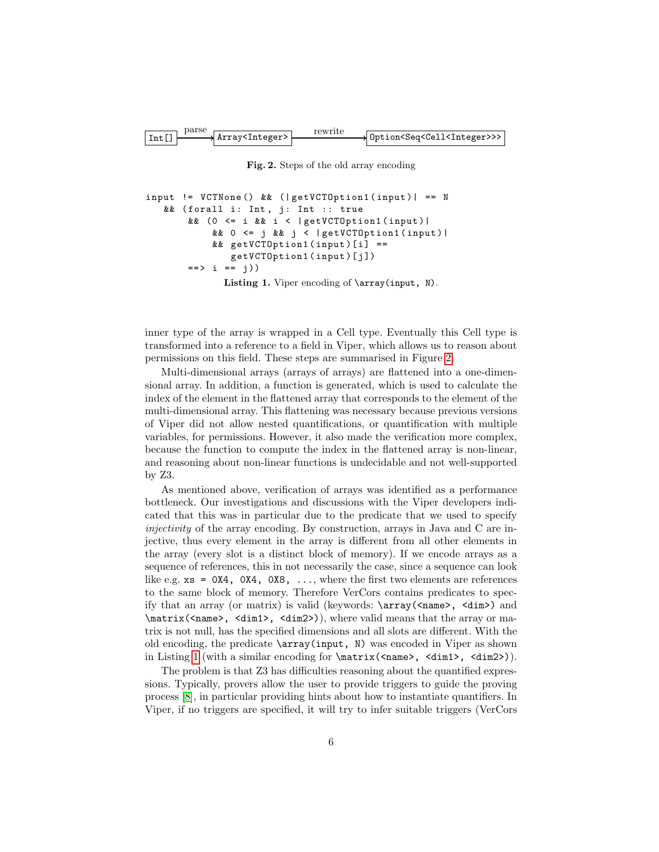

<span id="page-5-0"></span>Fig. 2. Steps of the old array encoding

```
input != VCTNone() && (|getVCTOption1(input)| == N
   && (forall i: Int, j: Int :: true
       && (0 \leq i && i \leq | getVCTOption1 (input) |
            && 0 \leq j && j \leq | getVCTOption1(input)|
            & getVCTOption1(input)[i] ==
               getVCTOption1 ( input )[ j ])
       == \ i == j)
```
Listing 1. Viper encoding of \array(input, N).

inner type of the array is wrapped in a Cell type. Eventually this Cell type is transformed into a reference to a field in Viper, which allows us to reason about permissions on this field. These steps are summarised in Figure [2.](#page-5-0)

Multi-dimensional arrays (arrays of arrays) are flattened into a one-dimensional array. In addition, a function is generated, which is used to calculate the index of the element in the flattened array that corresponds to the element of the multi-dimensional array. This flattening was necessary because previous versions of Viper did not allow nested quantifications, or quantification with multiple variables, for permissions. However, it also made the verification more complex, because the function to compute the index in the flattened array is non-linear, and reasoning about non-linear functions is undecidable and not well-supported by Z3.

As mentioned above, verification of arrays was identified as a performance bottleneck. Our investigations and discussions with the Viper developers indicated that this was in particular due to the predicate that we used to specify injectivity of the array encoding. By construction, arrays in Java and C are injective, thus every element in the array is different from all other elements in the array (every slot is a distinct block of memory). If we encode arrays as a sequence of references, this in not necessarily the case, since a sequence can look like e.g.  $xs = 0X4$ ,  $0X4$ ,  $0X8$ , ..., where the first two elements are references to the same block of memory. Therefore VerCors contains predicates to specify that an array (or matrix) is valid (keywords: \array(<name>, <dim>) and \matrix(<name>, <dim1>, <dim2>)), where valid means that the array or matrix is not null, has the specified dimensions and all slots are different. With the old encoding, the predicate  $\arctan \iint$ , N) was encoded in Viper as shown in Listing [1](#page-5-1) (with a similar encoding for  $\mathtt{max}(\mathsf{name}>, \mathsf{dim1}>, \mathsf{dim2}>)).$ 

The problem is that Z3 has difficulties reasoning about the quantified expressions. Typically, provers allow the user to provide triggers to guide the proving process [\[8\]](#page-16-7), in particular providing hints about how to instantiate quantifiers. In Viper, if no triggers are specified, it will try to infer suitable triggers (VerCors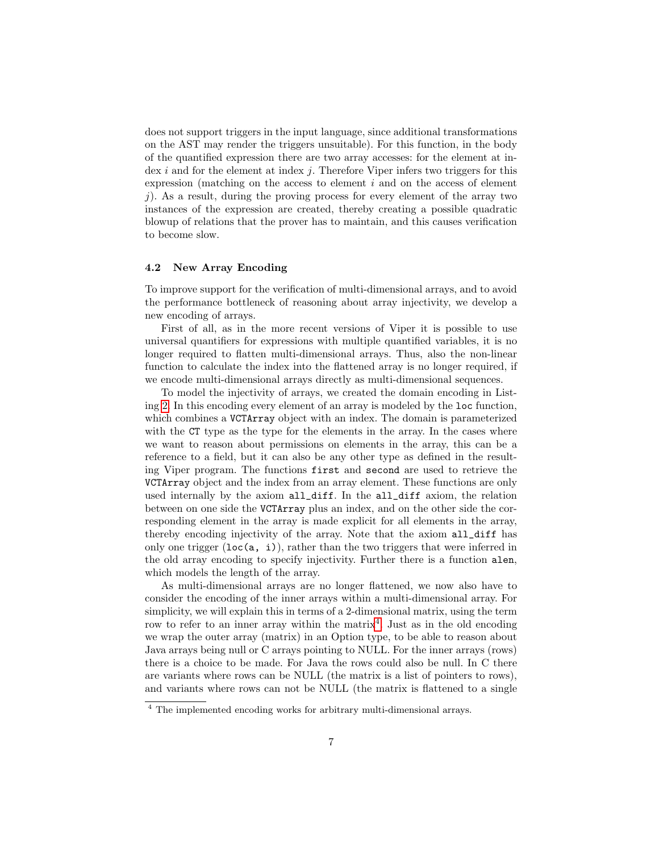does not support triggers in the input language, since additional transformations on the AST may render the triggers unsuitable). For this function, in the body of the quantified expression there are two array accesses: for the element at index  $i$  and for the element at index  $j$ . Therefore Viper infers two triggers for this expression (matching on the access to element  $i$  and on the access of element j). As a result, during the proving process for every element of the array two instances of the expression are created, thereby creating a possible quadratic blowup of relations that the prover has to maintain, and this causes verification to become slow.

#### 4.2 New Array Encoding

To improve support for the verification of multi-dimensional arrays, and to avoid the performance bottleneck of reasoning about array injectivity, we develop a new encoding of arrays.

First of all, as in the more recent versions of Viper it is possible to use universal quantifiers for expressions with multiple quantified variables, it is no longer required to flatten multi-dimensional arrays. Thus, also the non-linear function to calculate the index into the flattened array is no longer required, if we encode multi-dimensional arrays directly as multi-dimensional sequences.

To model the injectivity of arrays, we created the domain encoding in Listing [2.](#page-7-0) In this encoding every element of an array is modeled by the loc function, which combines a VCTArray object with an index. The domain is parameterized with the CT type as the type for the elements in the array. In the cases where we want to reason about permissions on elements in the array, this can be a reference to a field, but it can also be any other type as defined in the resulting Viper program. The functions first and second are used to retrieve the VCTArray object and the index from an array element. These functions are only used internally by the axiom all\_diff. In the all\_diff axiom, the relation between on one side the VCTArray plus an index, and on the other side the corresponding element in the array is made explicit for all elements in the array, thereby encoding injectivity of the array. Note that the axiom all\_diff has only one trigger  $(\text{loc}(a, i))$ , rather than the two triggers that were inferred in the old array encoding to specify injectivity. Further there is a function alen, which models the length of the array.

As multi-dimensional arrays are no longer flattened, we now also have to consider the encoding of the inner arrays within a multi-dimensional array. For simplicity, we will explain this in terms of a 2-dimensional matrix, using the term row to refer to an inner array within the matrix<sup>[4](#page-6-0)</sup>. Just as in the old encoding we wrap the outer array (matrix) in an Option type, to be able to reason about Java arrays being null or C arrays pointing to NULL. For the inner arrays (rows) there is a choice to be made. For Java the rows could also be null. In C there are variants where rows can be NULL (the matrix is a list of pointers to rows), and variants where rows can not be NULL (the matrix is flattened to a single

<span id="page-6-0"></span><sup>4</sup> The implemented encoding works for arbitrary multi-dimensional arrays.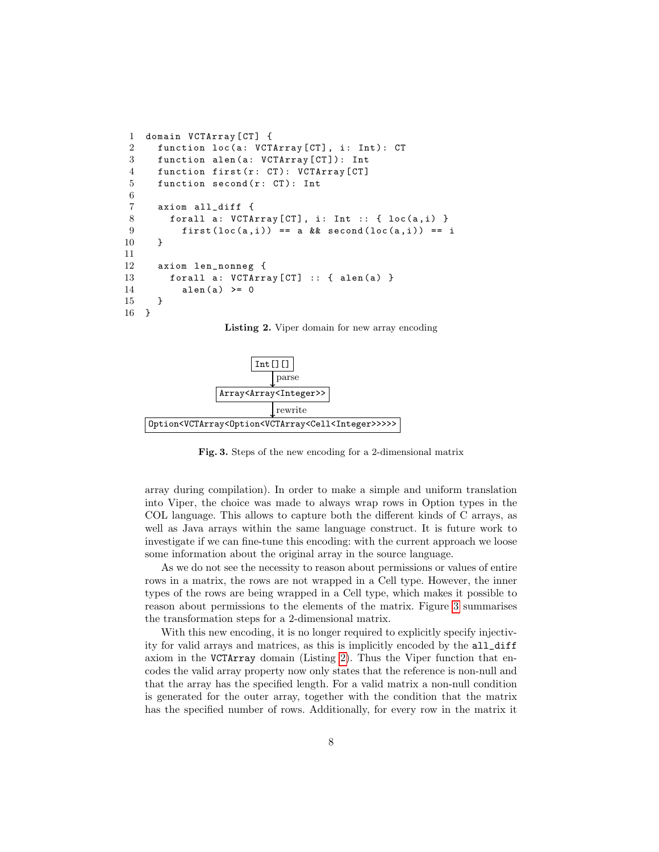```
1 domain VCTArray [CT] {
2 function loc(a: VCTArray [CT], i: Int): CT
3 function alen (a: VCTArray [CT]): Int
4 function first (r: CT): VCTArray [CT]
5 function second (r: CT): Int
6
7 axiom all_diff {
8 forall a: VCTArray [CT], i: Int :: { loc(a,i) }
9 first (loc(a, i)) == a && second (loc(a, i)) == i10 }
11
12 axiom len_nonneg {
13 forall a: VCTArray [CT] :: {alen(a) }14 alen(a) >= 0
15 }
16 }
```
Listing 2. Viper domain for new array encoding



<span id="page-7-1"></span>Fig. 3. Steps of the new encoding for a 2-dimensional matrix

array during compilation). In order to make a simple and uniform translation into Viper, the choice was made to always wrap rows in Option types in the COL language. This allows to capture both the different kinds of C arrays, as well as Java arrays within the same language construct. It is future work to investigate if we can fine-tune this encoding: with the current approach we loose some information about the original array in the source language.

As we do not see the necessity to reason about permissions or values of entire rows in a matrix, the rows are not wrapped in a Cell type. However, the inner types of the rows are being wrapped in a Cell type, which makes it possible to reason about permissions to the elements of the matrix. Figure [3](#page-7-1) summarises the transformation steps for a 2-dimensional matrix.

With this new encoding, it is no longer required to explicitly specify injectivity for valid arrays and matrices, as this is implicitly encoded by the all\_diff axiom in the VCTArray domain (Listing [2\)](#page-7-0). Thus the Viper function that encodes the valid array property now only states that the reference is non-null and that the array has the specified length. For a valid matrix a non-null condition is generated for the outer array, together with the condition that the matrix has the specified number of rows. Additionally, for every row in the matrix it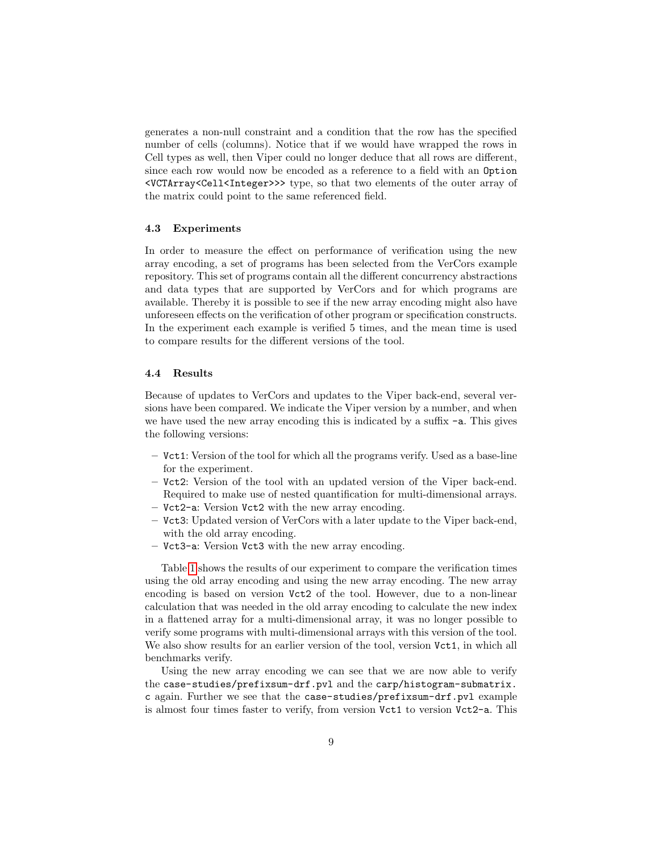generates a non-null constraint and a condition that the row has the specified number of cells (columns). Notice that if we would have wrapped the rows in Cell types as well, then Viper could no longer deduce that all rows are different, since each row would now be encoded as a reference to a field with an Option <VCTArray<Cell<Integer>>> type, so that two elements of the outer array of the matrix could point to the same referenced field.

#### <span id="page-8-0"></span>4.3 Experiments

In order to measure the effect on performance of verification using the new array encoding, a set of programs has been selected from the VerCors example repository. This set of programs contain all the different concurrency abstractions and data types that are supported by VerCors and for which programs are available. Thereby it is possible to see if the new array encoding might also have unforeseen effects on the verification of other program or specification constructs. In the experiment each example is verified 5 times, and the mean time is used to compare results for the different versions of the tool.

#### 4.4 Results

Because of updates to VerCors and updates to the Viper back-end, several versions have been compared. We indicate the Viper version by a number, and when we have used the new array encoding this is indicated by a suffix  $-a$ . This gives the following versions:

- Vct1: Version of the tool for which all the programs verify. Used as a base-line for the experiment.
- Vct2: Version of the tool with an updated version of the Viper back-end. Required to make use of nested quantification for multi-dimensional arrays.
- Vct2-a: Version Vct2 with the new array encoding.
- Vct3: Updated version of VerCors with a later update to the Viper back-end, with the old array encoding.
- Vct3-a: Version Vct3 with the new array encoding.

Table [1](#page-9-0) shows the results of our experiment to compare the verification times using the old array encoding and using the new array encoding. The new array encoding is based on version Vct2 of the tool. However, due to a non-linear calculation that was needed in the old array encoding to calculate the new index in a flattened array for a multi-dimensional array, it was no longer possible to verify some programs with multi-dimensional arrays with this version of the tool. We also show results for an earlier version of the tool, version  $Vct1$ , in which all benchmarks verify.

Using the new array encoding we can see that we are now able to verify the case-studies/prefixsum-drf.pvl and the carp/histogram-submatrix. c again. Further we see that the case-studies/prefixsum-drf.pvl example is almost four times faster to verify, from version Vct1 to version Vct2-a. This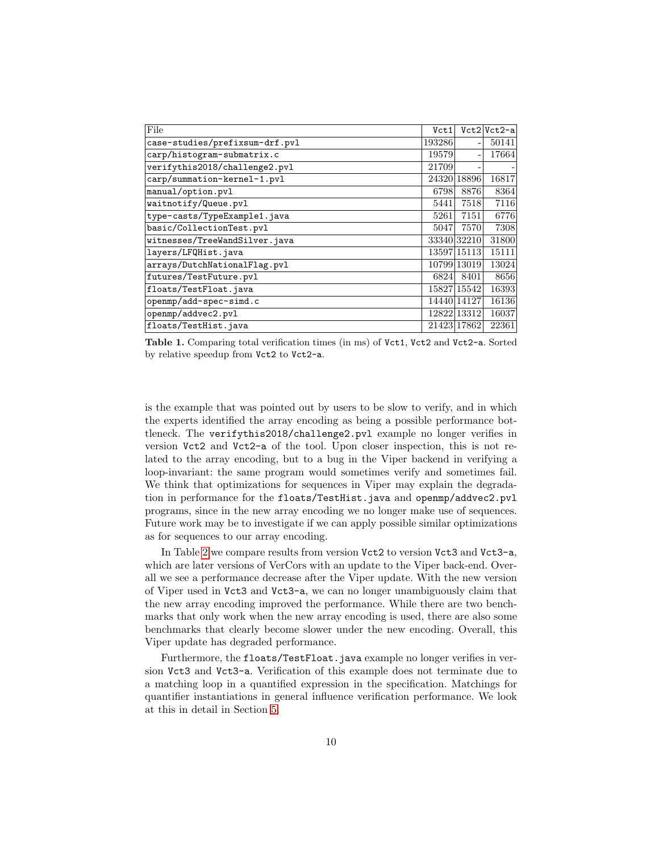| File                           | Vct1   |             | Vct2 Vct2-a |
|--------------------------------|--------|-------------|-------------|
| case-studies/prefixsum-drf.pvl | 193286 |             | 50141       |
| carp/histogram-submatrix.c     | 19579  |             | 17664       |
| verifythis2018/challenge2.pvl  | 21709  |             |             |
| carp/summation-kernel-1.pvl    |        | 24320 18896 | 16817       |
| manual/option.pvl              | 6798   | 8876        | 8364        |
| waitnotify/Queue.pvl           | 5441   | 7518        | 7116        |
| type-casts/TypeExample1.java   | 5261   | 7151        | 6776        |
| basic/CollectionTest.pvl       | 5047   | 7570        | 7308        |
| witnesses/TreeWandSilver.java  |        | 33340 32210 | 31800       |
| layers/LFQHist.java            |        | 13597 15113 | 15111       |
| arrays/DutchNationalFlag.pvl   |        | 10799 13019 | 13024       |
| futures/TestFuture.pvl         | 6824   | 8401        | 8656        |
| floats/TestFloat.java          |        | 15827 15542 | 16393       |
| openmp/add-spec-simd.c         |        | 14440 14127 | 16136       |
| openmp/addvec2.pvl             |        | 12822 13312 | 16037       |
| floats/TestHist.java           |        | 21423 17862 | 22361       |

<span id="page-9-0"></span>Table 1. Comparing total verification times (in ms) of Vct1, Vct2 and Vct2-a. Sorted by relative speedup from Vct2 to Vct2-a.

is the example that was pointed out by users to be slow to verify, and in which the experts identified the array encoding as being a possible performance bottleneck. The verifythis2018/challenge2.pvl example no longer verifies in version Vct2 and Vct2-a of the tool. Upon closer inspection, this is not related to the array encoding, but to a bug in the Viper backend in verifying a loop-invariant: the same program would sometimes verify and sometimes fail. We think that optimizations for sequences in Viper may explain the degradation in performance for the floats/TestHist.java and openmp/addvec2.pvl programs, since in the new array encoding we no longer make use of sequences. Future work may be to investigate if we can apply possible similar optimizations as for sequences to our array encoding.

In Table [2](#page-10-1) we compare results from version Vct2 to version Vct3 and Vct3-a, which are later versions of VerCors with an update to the Viper back-end. Overall we see a performance decrease after the Viper update. With the new version of Viper used in Vct3 and Vct3-a, we can no longer unambiguously claim that the new array encoding improved the performance. While there are two benchmarks that only work when the new array encoding is used, there are also some benchmarks that clearly become slower under the new encoding. Overall, this Viper update has degraded performance.

Furthermore, the floats/TestFloat.java example no longer verifies in version Vct3 and Vct3-a. Verification of this example does not terminate due to a matching loop in a quantified expression in the specification. Matchings for quantifier instantiations in general influence verification performance. We look at this in detail in Section [5.](#page-10-0)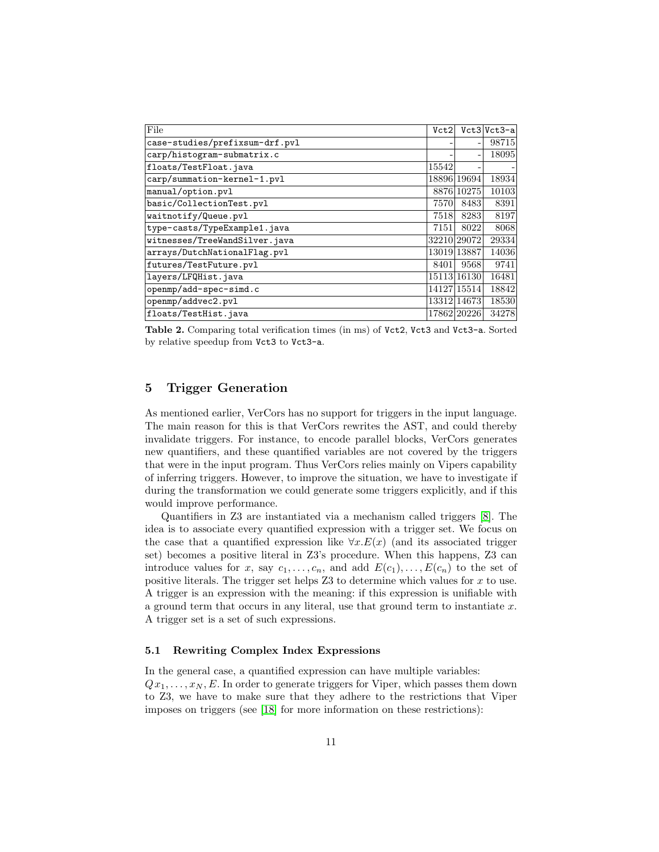| File                           | Vct2  |             | Vct3 Vct3-a |
|--------------------------------|-------|-------------|-------------|
| case-studies/prefixsum-drf.pvl |       |             | 98715       |
| carp/histogram-submatrix.c     |       | -           | 18095       |
| floats/TestFloat.java          | 15542 |             |             |
| carp/summation-kernel-1.pvl    |       | 18896 19694 | 18934       |
| manual/option.pvl              |       | 8876 10275  | 10103       |
| basic/CollectionTest.pvl       | 7570  | 8483        | 8391        |
| waitnotify/Queue.pvl           | 7518  | 8283        | 8197        |
| type-casts/TypeExample1.java   | 7151  | 8022        | 8068        |
| witnesses/TreeWandSilver.java  |       | 32210 29072 | 29334       |
| arrays/DutchNationalFlag.pvl   |       | 13019 13887 | 14036       |
| futures/TestFuture.pvl         | 8401  | 9568        | 9741        |
| layers/LFQHist.java            |       | 15113 16130 | 16481       |
| openmp/add-spec-simd.c         |       | 14127 15514 | 18842       |
| openmp/addvec2.pvl             |       | 13312 14673 | 18530       |
| floats/TestHist.java           |       | 17862 20226 | 34278       |

<span id="page-10-1"></span>Table 2. Comparing total verification times (in ms) of Vct2, Vct3 and Vct3-a. Sorted by relative speedup from Vct3 to Vct3-a.

## <span id="page-10-0"></span>5 Trigger Generation

As mentioned earlier, VerCors has no support for triggers in the input language. The main reason for this is that VerCors rewrites the AST, and could thereby invalidate triggers. For instance, to encode parallel blocks, VerCors generates new quantifiers, and these quantified variables are not covered by the triggers that were in the input program. Thus VerCors relies mainly on Vipers capability of inferring triggers. However, to improve the situation, we have to investigate if during the transformation we could generate some triggers explicitly, and if this would improve performance.

Quantifiers in Z3 are instantiated via a mechanism called triggers [\[8\]](#page-16-7). The idea is to associate every quantified expression with a trigger set. We focus on the case that a quantified expression like  $\forall x. E(x)$  (and its associated trigger set) becomes a positive literal in Z3's procedure. When this happens, Z3 can introduce values for x, say  $c_1, \ldots, c_n$ , and add  $E(c_1), \ldots, E(c_n)$  to the set of positive literals. The trigger set helps  $Z3$  to determine which values for  $x$  to use. A trigger is an expression with the meaning: if this expression is unifiable with a ground term that occurs in any literal, use that ground term to instantiate  $x$ . A trigger set is a set of such expressions.

#### 5.1 Rewriting Complex Index Expressions

In the general case, a quantified expression can have multiple variables:  $Qx_1, \ldots, x_N, E$ . In order to generate triggers for Viper, which passes them down to Z3, we have to make sure that they adhere to the restrictions that Viper imposes on triggers (see [\[18\]](#page-16-8) for more information on these restrictions):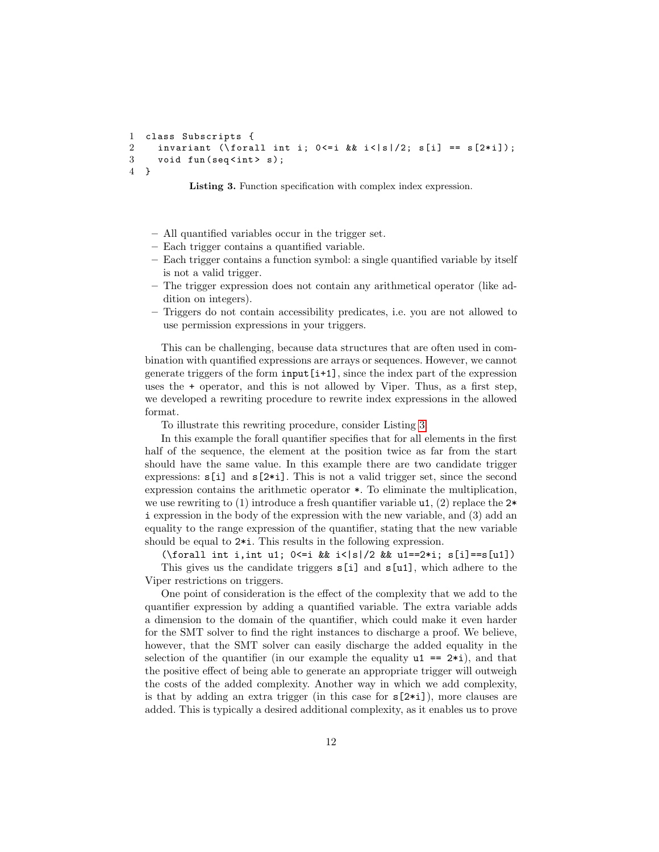```
1 class Subscripts {
2 invariant (\forall int i; 0 \le i \ k \ k \ i \le |s|/2; s[i] == s[2 * i]);
3 void fun (seq < int > s);
4 }
```


- All quantified variables occur in the trigger set.
- Each trigger contains a quantified variable.
- Each trigger contains a function symbol: a single quantified variable by itself is not a valid trigger.
- The trigger expression does not contain any arithmetical operator (like addition on integers).
- Triggers do not contain accessibility predicates, i.e. you are not allowed to use permission expressions in your triggers.

This can be challenging, because data structures that are often used in combination with quantified expressions are arrays or sequences. However, we cannot generate triggers of the form input[i+1], since the index part of the expression uses the + operator, and this is not allowed by Viper. Thus, as a first step, we developed a rewriting procedure to rewrite index expressions in the allowed format.

To illustrate this rewriting procedure, consider Listing [3.](#page-11-0)

In this example the forall quantifier specifies that for all elements in the first half of the sequence, the element at the position twice as far from the start should have the same value. In this example there are two candidate trigger expressions:  $s[i]$  and  $s[2*ij]$ . This is not a valid trigger set, since the second expression contains the arithmetic operator \*. To eliminate the multiplication, we use rewriting to (1) introduce a fresh quantifier variable  $u_1$ , (2) replace the  $2*$ i expression in the body of the expression with the new variable, and (3) add an equality to the range expression of the quantifier, stating that the new variable should be equal to  $2 \times i$ . This results in the following expression.

(\forall int i,int u1; 0<=i && i<|s|/2 && u1==2\*i; s[i]==s[u1]) This gives us the candidate triggers s[i] and s[u1], which adhere to the Viper restrictions on triggers.

One point of consideration is the effect of the complexity that we add to the quantifier expression by adding a quantified variable. The extra variable adds a dimension to the domain of the quantifier, which could make it even harder for the SMT solver to find the right instances to discharge a proof. We believe, however, that the SMT solver can easily discharge the added equality in the selection of the quantifier (in our example the equality  $u1 == 2*i$ ), and that the positive effect of being able to generate an appropriate trigger will outweigh the costs of the added complexity. Another way in which we add complexity, is that by adding an extra trigger (in this case for s[2\*i]), more clauses are added. This is typically a desired additional complexity, as it enables us to prove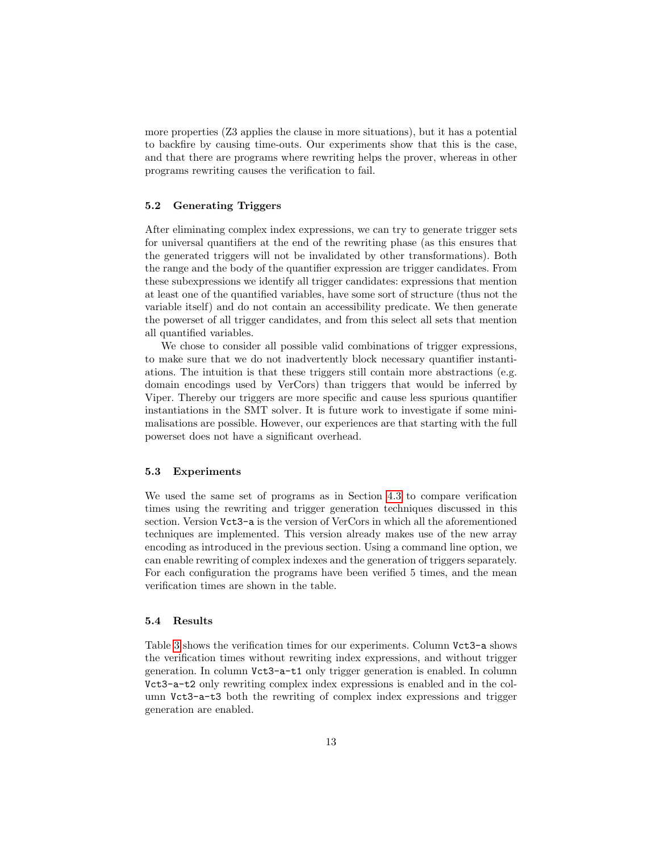more properties (Z3 applies the clause in more situations), but it has a potential to backfire by causing time-outs. Our experiments show that this is the case, and that there are programs where rewriting helps the prover, whereas in other programs rewriting causes the verification to fail.

### 5.2 Generating Triggers

After eliminating complex index expressions, we can try to generate trigger sets for universal quantifiers at the end of the rewriting phase (as this ensures that the generated triggers will not be invalidated by other transformations). Both the range and the body of the quantifier expression are trigger candidates. From these subexpressions we identify all trigger candidates: expressions that mention at least one of the quantified variables, have some sort of structure (thus not the variable itself) and do not contain an accessibility predicate. We then generate the powerset of all trigger candidates, and from this select all sets that mention all quantified variables.

We chose to consider all possible valid combinations of trigger expressions, to make sure that we do not inadvertently block necessary quantifier instantiations. The intuition is that these triggers still contain more abstractions (e.g. domain encodings used by VerCors) than triggers that would be inferred by Viper. Thereby our triggers are more specific and cause less spurious quantifier instantiations in the SMT solver. It is future work to investigate if some minimalisations are possible. However, our experiences are that starting with the full powerset does not have a significant overhead.

#### 5.3 Experiments

We used the same set of programs as in Section [4.3](#page-8-0) to compare verification times using the rewriting and trigger generation techniques discussed in this section. Version Vct3-a is the version of VerCors in which all the aforementioned techniques are implemented. This version already makes use of the new array encoding as introduced in the previous section. Using a command line option, we can enable rewriting of complex indexes and the generation of triggers separately. For each configuration the programs have been verified 5 times, and the mean verification times are shown in the table.

#### 5.4 Results

Table [3](#page-13-1) shows the verification times for our experiments. Column Vct3-a shows the verification times without rewriting index expressions, and without trigger generation. In column Vct3-a-t1 only trigger generation is enabled. In column Vct3-a-t2 only rewriting complex index expressions is enabled and in the column Vct3-a-t3 both the rewriting of complex index expressions and trigger generation are enabled.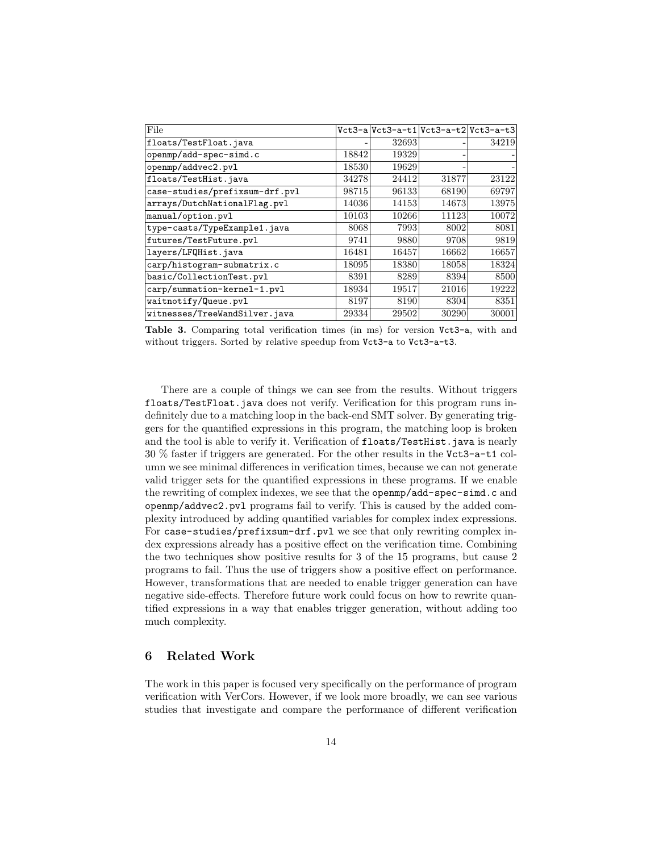| File                           |       |       | $Vct3-a Vct3-a-t1 Vct3-a-t2 Vct3-a-t3 $ |       |
|--------------------------------|-------|-------|-----------------------------------------|-------|
| floats/TestFloat.java          |       | 32693 |                                         | 34219 |
| openmp/add-spec-simd.c         | 18842 | 19329 |                                         |       |
| openmp/addvec2.pvl             | 18530 | 19629 |                                         |       |
| floats/TestHist.java           | 34278 | 24412 | 31877                                   | 23122 |
| case-studies/prefixsum-drf.pvl | 98715 | 96133 | 68190                                   | 69797 |
| arrays/DutchNationalFlag.pvl   | 14036 | 14153 | 14673                                   | 13975 |
| manual/option.pvl              | 10103 | 10266 | 11123                                   | 10072 |
| type-casts/TypeExample1.java   | 8068  | 7993  | 8002                                    | 8081  |
| futures/TestFuture.pvl         | 9741  | 9880  | 9708                                    | 9819  |
| layers/LFQHist.java            | 16481 | 16457 | 16662                                   | 16657 |
| carp/histogram-submatrix.c     | 18095 | 18380 | 18058                                   | 18324 |
| basic/CollectionTest.pvl       | 8391  | 8289  | 8394                                    | 8500  |
| carp/summation-kernel-1.pvl    | 18934 | 19517 | 21016                                   | 19222 |
| waitnotify/Queue.pvl           | 8197  | 8190  | 8304                                    | 8351  |
| witnesses/TreeWandSilver.java  | 29334 | 29502 | 30290                                   | 30001 |

<span id="page-13-1"></span>Table 3. Comparing total verification times (in ms) for version Vct3-a, with and without triggers. Sorted by relative speedup from Vct3-a to Vct3-a-t3.

There are a couple of things we can see from the results. Without triggers floats/TestFloat.java does not verify. Verification for this program runs indefinitely due to a matching loop in the back-end SMT solver. By generating triggers for the quantified expressions in this program, the matching loop is broken and the tool is able to verify it. Verification of floats/TestHist.java is nearly 30 % faster if triggers are generated. For the other results in the Vct3-a-t1 column we see minimal differences in verification times, because we can not generate valid trigger sets for the quantified expressions in these programs. If we enable the rewriting of complex indexes, we see that the openmp/add-spec-simd.c and openmp/addvec2.pvl programs fail to verify. This is caused by the added complexity introduced by adding quantified variables for complex index expressions. For case-studies/prefixsum-drf.pvl we see that only rewriting complex index expressions already has a positive effect on the verification time. Combining the two techniques show positive results for 3 of the 15 programs, but cause 2 programs to fail. Thus the use of triggers show a positive effect on performance. However, transformations that are needed to enable trigger generation can have negative side-effects. Therefore future work could focus on how to rewrite quantified expressions in a way that enables trigger generation, without adding too much complexity.

# <span id="page-13-0"></span>6 Related Work

The work in this paper is focused very specifically on the performance of program verification with VerCors. However, if we look more broadly, we can see various studies that investigate and compare the performance of different verification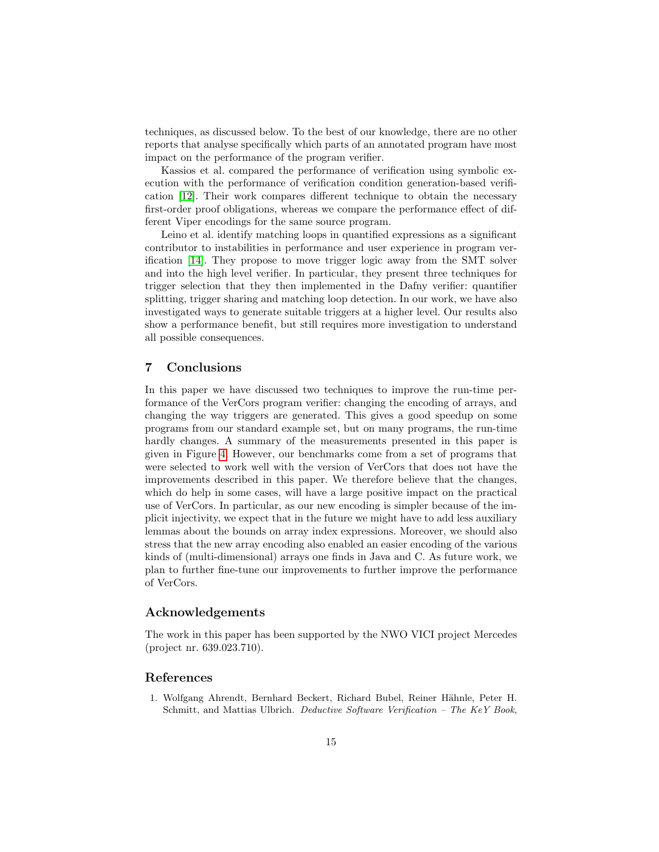techniques, as discussed below. To the best of our knowledge, there are no other reports that analyse specifically which parts of an annotated program have most impact on the performance of the program verifier.

Kassios et al. compared the performance of verification using symbolic execution with the performance of verification condition generation-based verification [\[12\]](#page-16-9). Their work compares different technique to obtain the necessary first-order proof obligations, whereas we compare the performance effect of different Viper encodings for the same source program.

Leino et al. identify matching loops in quantified expressions as a significant contributor to instabilities in performance and user experience in program verification [\[14\]](#page-16-10). They propose to move trigger logic away from the SMT solver and into the high level verifier. In particular, they present three techniques for trigger selection that they then implemented in the Dafny verifier: quantifier splitting, trigger sharing and matching loop detection. In our work, we have also investigated ways to generate suitable triggers at a higher level. Our results also show a performance benefit, but still requires more investigation to understand all possible consequences.

# <span id="page-14-1"></span>7 Conclusions

In this paper we have discussed two techniques to improve the run-time performance of the VerCors program verifier: changing the encoding of arrays, and changing the way triggers are generated. This gives a good speedup on some programs from our standard example set, but on many programs, the run-time hardly changes. A summary of the measurements presented in this paper is given in Figure [4.](#page-15-6) However, our benchmarks come from a set of programs that were selected to work well with the version of VerCors that does not have the improvements described in this paper. We therefore believe that the changes, which do help in some cases, will have a large positive impact on the practical use of VerCors. In particular, as our new encoding is simpler because of the implicit injectivity, we expect that in the future we might have to add less auxiliary lemmas about the bounds on array index expressions. Moreover, we should also stress that the new array encoding also enabled an easier encoding of the various kinds of (multi-dimensional) arrays one finds in Java and C. As future work, we plan to further fine-tune our improvements to further improve the performance of VerCors.

## Acknowledgements

The work in this paper has been supported by the NWO VICI project Mercedes (project nr. 639.023.710).

#### References

<span id="page-14-0"></span>1. Wolfgang Ahrendt, Bernhard Beckert, Richard Bubel, Reiner Hähnle, Peter H. Schmitt, and Mattias Ulbrich. Deductive Software Verification – The KeY Book,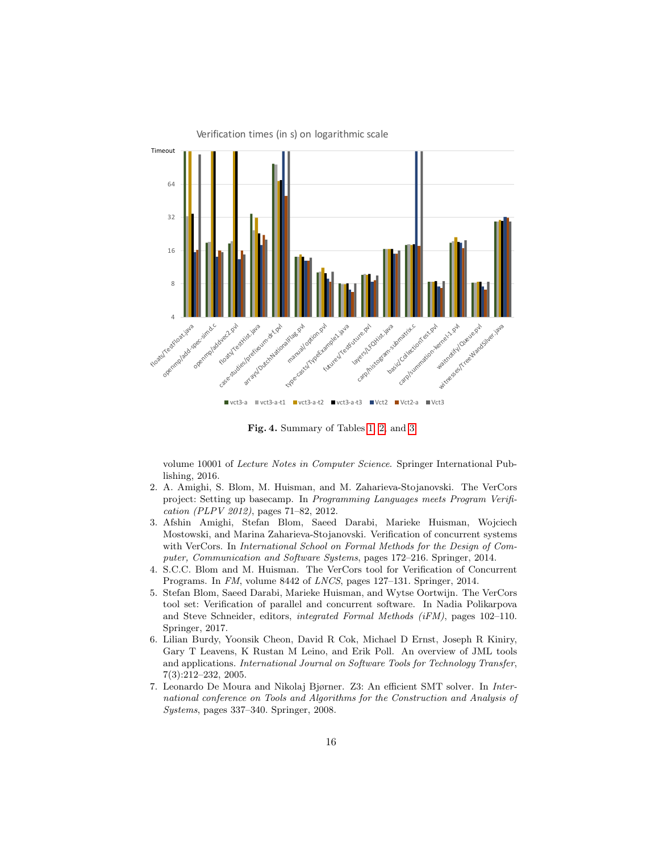

<span id="page-15-6"></span>Fig. 4. Summary of Tables [1,](#page-9-0) [2,](#page-10-1) and [3](#page-13-1)

volume 10001 of Lecture Notes in Computer Science. Springer International Publishing, 2016.

- <span id="page-15-0"></span>2. A. Amighi, S. Blom, M. Huisman, and M. Zaharieva-Stojanovski. The VerCors project: Setting up basecamp. In Programming Languages meets Program Verification (PLPV 2012), pages 71–82, 2012.
- <span id="page-15-2"></span>3. Afshin Amighi, Stefan Blom, Saeed Darabi, Marieke Huisman, Wojciech Mostowski, and Marina Zaharieva-Stojanovski. Verification of concurrent systems with VerCors. In International School on Formal Methods for the Design of Computer, Communication and Software Systems, pages 172–216. Springer, 2014.
- <span id="page-15-1"></span>4. S.C.C. Blom and M. Huisman. The VerCors tool for Verification of Concurrent Programs. In FM, volume 8442 of LNCS, pages 127–131. Springer, 2014.
- <span id="page-15-3"></span>5. Stefan Blom, Saeed Darabi, Marieke Huisman, and Wytse Oortwijn. The VerCors tool set: Verification of parallel and concurrent software. In Nadia Polikarpova and Steve Schneider, editors, integrated Formal Methods (iFM), pages 102–110. Springer, 2017.
- <span id="page-15-5"></span>6. Lilian Burdy, Yoonsik Cheon, David R Cok, Michael D Ernst, Joseph R Kiniry, Gary T Leavens, K Rustan M Leino, and Erik Poll. An overview of JML tools and applications. International Journal on Software Tools for Technology Transfer, 7(3):212–232, 2005.
- <span id="page-15-4"></span>7. Leonardo De Moura and Nikolaj Bjørner. Z3: An efficient SMT solver. In International conference on Tools and Algorithms for the Construction and Analysis of Systems, pages 337–340. Springer, 2008.